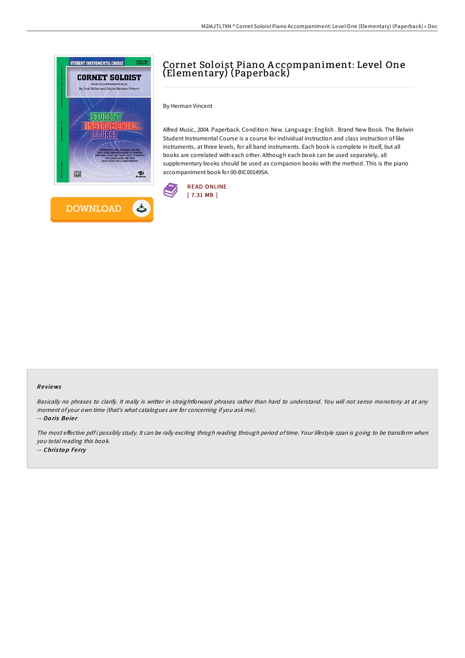

# Cornet Soloist Piano A ccompaniment: Level One (Elementary) (Paperback)

By Herman Vincent

Alfred Music, 2004. Paperback. Condition: New. Language: English . Brand New Book. The Belwin Student Instrumental Course is a course for individual instruction and class instruction of like instruments, at three levels, for all band instruments. Each book is complete in itself, but all books are correlated with each other. Although each book can be used separately, all supplementary books should be used as companion books with the method. This is the piano accompaniment book for 00-BIC00149SA.



#### Re views

Basically no phrases to clarify. It really is writter in straightforward phrases rather than hard to understand. You will not sense monotony at at any moment of your own time (that's what catalogues are for concerning if you ask me).

-- Do ris Be ie r

The most effective pdf i possibly study. It can be rally exciting throgh reading through period of time. Your lifestyle span is going to be transform when you total reading this book. -- Christop Ferry